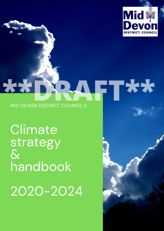

## **\*\*\*** MID DEVON DISTRICT COUNCIL'S **Reveal FT\*\***

**Climate** strategy  $\mathbf{\hat{\alpha}}$ handbook

2020-2024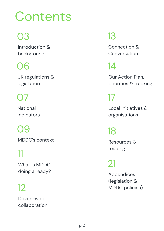# **Contents**

## 03

Introduction & background

## 06

UK regulations & legislation

## $\bigcap$

National indicators

## 09

MDDC's context

## 11

What is MDDC doing already?

## 12

Devon-wide collaboration

## 13

Connection & Conversation

## 14

Our Action Plan, priorities & tracking

## 17

Local initiatives & organisations

## 18

Resources & reading

## 21

Appendices (legislation & MDDC policies)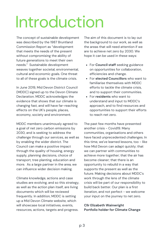# Introduction

The concept of sustainable development was described by the 1987 Bruntland Commission Report as "development that meets the needs of the present without compromising the ability of future generations to meet their own needs." Sustainable development weaves together societal, environmental, cultural and economic goals. One threat to all of these goals is the climate crisis.

In June 2019, Mid Devon District Council (MDDC) signed up to the Devon Climate Declaration. MDDC acknowledges the evidence that shows that our climate is changing fast, and will have far-reaching effects on the UK's people, places, economy, society and environment.

MDDC members unanimously agreed to a goal of net zero carbon emissions by 2030, and is seeking to address the challenge through our services, as well as by enabling the wider district. The Council can make a positive impact through the quality of housing, energy supply, planning decisions, choice of transport, tree planting, education and more. As a large partner in the area, we can influence wider decision making.

Climate knowledge, actions and case studies are evolving, and so this strategy, as well as the action plan itself, are living documents which will be reviewed frequently. In addition, MDDC is setting up a Mid Devon Climate website, which will showcase local initiatives, events, resources, actions, targets and progress.

The aim of this document is to lay out the background to our work, as well as the areas that will need attention if we are to achieve net zero by 2030. We hope it can be used in these ways:

- For **Council staff** seeking guidance on opportunities for collaboration, efficiencies and change.
- For **elected Councillors** who want to familiarise themselves with MDDC efforts to tackle the climate crisis, and to support their communities.
- For **residents** who want to understand and input to MDDC's approach, and to find resources and opportunities to support their efforts to reach net zero.

The past few months have presented another crisis - Covid19. Many communities, organisations and others have faced unprecedented challenges. In this time, we've learned lessons, too - like how Mid Devon can adapt quickly; that we can partner with communities to achieve more together; that the air has become cleaner; that there is an opportunity to rebuild in a way that supports the present as well as the future. Making decisions about MDDC's work through the lens of the climate crisis will be part of our responsibility to build back better. Our plan is a first iteration, and not perfect - we welcome your input on the journey to net zero.

### **Cllr Elizabeth Wainwright Portfolio holder for Climate Change**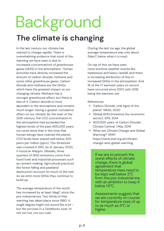# **The climate is changing** Background

In the last century our climate has started to change rapidly. There is overwhelming evidence that most of the warming we have seen is due to increased concentrations of greenhouse gases (GHG) in the atmosphere. Human activities have directly increased the amount of carbon dioxide, methane and some other greenhouse gases. Carbon dioxide and methane are the GHGs which have the greatest impact on our changing climate. Methane has a stronger greenhouse effect, but there is less of it. Carbon dioxide is more abundant in the atmosphere and remains much longer, having a greater cumulative effect on our climate. By the start of the 20th century, the CO2 concentration in the atmosphere had exceeded the highest levels of the past 800,000 years. Ice cores show that in the time that human beings have roamed the planet, CO2 levels have stayed well below 300 parts per million (ppm). This threshold was crossed in 1910. As of January 2020, it stood at 414ppm. Globally, three quarters of GHG emissions come from fossil fuels and industrial processes such as cement-making. Agricultural practices like forest felling and peatland destruction account for much of the rest. As we emit more GHGs they continue to build up.

The average temperature of the world has increased by at least 1degC since the pre-industrial era. Two thirds of that warming has taken place since 1980. A single degree might not sound like a lot but life survives in a 'Goldilocks zone' of not too hot, not too cold.

(During the last ice age, the global average temperature was only about 5decC below what it is now).

On top of this we have seen more extreme weather events like heatwaves and heavy rainfall, and there is increasing attribution of this to increased GHGs in the atmosphere. And 16 of the 17 warmest years on record have occurred since 2001, with 2016 being the warmest yet.

References:

- 'Carbon Dioxide: vital signs of the planet', NASA, 2020
- 'Global GHG Emissions (by economic sector)', EPA, 2014
- '800,000 years of Carbon Dioxide', Climate Central, 1 May 2019
- 'What are Climate Change and Global Warming?' WWF, https://www.wwf.org.uk/climatechange-and-global-warming

If we are to prevent the worst effects of climate change, there is global agreement that temperature rises need to be kept well below 2°C from the pre-industrial era, with an ambition to keep it below 1.5°C.

Assessments suggest that we are currently on course for temperature rises of up to as much as 4°C or higher.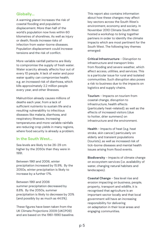### **Globally...**

A warming planet increases the risk of coastal flooding and population displacement. More than half of the world's population now lives within 60 kilometres of shorelines. As well as injury or death, floods increase risks of infection from water-borne diseases. Population displacement could increase tensions and the risk of conflict.

More variable rainfall patterns are likely to compromise the supply of fresh water. Water scarcity already affects four out of every 10 people. A lack of water and poor water quality can compromise health, e.g. an increased risk of diarrhoea, which kills approximately 2.2 million people every year, and other illnesses.

Malnutrition already causes millions of deaths each year, from a lack of sufficient nutrients to sustain life and a resulting vulnerability to infectious diseases like malaria, diarrhoea, and respiratory illnesses. Increasing temperatures and more variable rainfalls are reducing crop yields in many regions, where food security is already a problem.

### **In the South West...**

Sea levels are likely to be 26-29 cm higher by the 2050s than they were in 1991.

Between 1961 and 2006, winter precipitation increased by 15.9%. By the 2050s, winter precipitation is likely to increase by a further 17%.

Between 1961 and 2006 summer precipitation decreased by 8.8%. By the 2050s, summer precipitation is likely to decrease by 20% (and possibly by as much as 44.5%).

These figures have been taken from the UK Climate Projections 2009 (UKCP09) and are based on the 1961-1990 baseline.

This report also contains information about how these changes may affect key sectors across the South West's environment, economy and society. In November 2010 Climate South West hosted a workshop to bring together partners in order to identify the climate impacts which are most pertinent for the South West. The following key themes emerged:

**Critical Infrastructure** - Disruption to infrastructure and transport links from flooding and severe weather, which affect access, utilities, and services. This is a particular issue for rural and isolated communities. Such disruption also poses a risk to business due to the impacts on logistics and supply chains.

**Tourism** - Impacts on tourism from coastal change, disruption to infrastructure, health effects (particularly heat-related); as well as the effects of increased visitors (due to hotter, drier summers) on infrastructure and the environment.

**Health** - Impacts of heat (e.g. heat stroke, skin cancer) particularly on elderly and transient populations (tourists), as well as increased risk of tick-borne diseases and mental health issues arising from flood events.

**Biodiversity** - Impacts of climate change on ecosystem services (i.e. availability of water, changing natural habitats and landscapes).

**Coastal Change** - Sea level rise and erosion impacting on business, people, property, transport and wildlife, it is recognised that agriculture is an important sector locally and that local government will have an increasing responsibility for delivering on adaptation in their local areas and engaging communities.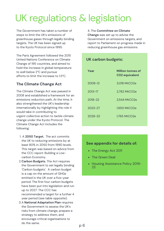## UK regulations & legislation

The Government has taken a number of steps to limit the UK's emissions of greenhouse gases through legally binding targets. The UK has been signed up to the Kyoto Protocol since 1995.

The Paris Agreement followed the 2015 United Nations Conference on Climate Change of 195 countries, and aimed to hold the increase in global temperature to well below 2°C and pursue efforts to limit the increase to 1.5°C.

## **The Climate Change Act**

The Climate Change Act was passed in 2008 and established a framework for an emissions reduction path. At the time, it also strengthened the UK's leadership internationally by highlighting the role it would take in contributing to urgent collective action to tackle climate change under the Kyoto Protocol. The Climate Change Act includes the following:

- A **2050 Target.** The act commits 1. the UK to reducing emissions by at least 80% in 2050 from 1990 levels. This target was based on advice from the CCC report: Building a Lowcarbon Economy.
- **Carbon Budgets.** The Act requires 2. the Government to set legally binding 'Carbon budgets'. A carbon budget is a cap on the amount of GHGs emitted in the UK over a five-year period. The first four carbon budgets have been put into legislation and run up to 2027. The CCC has recommended a target for a further 4 year period (see table opposite).
- A **National Adaptation Plan** requires 3. the Government to assess the UK's risks from climate change, prepare a strategy to address them, and encourage critical organisations to do the same.

#### 4. The **Committee on Climate**

**Change** was set up to advise the Government on emissions targets, and report to Parliament on progress made in reducing greenhouse gas emissions

## **UK carbon budgets:**

| Year        | <b>Million tonnes of</b><br>CO <sub>2</sub> equivalent |
|-------------|--------------------------------------------------------|
| 2008-12     | 3,018 MtCO2e                                           |
| $2013 - 17$ | 2,782 MtCO2e                                           |
| 2018-22     | 2,544 MtCO2e                                           |
| $2023 - 27$ | 1,950 MtCO2e                                           |
| 2028-32     | 1,765 MtCO2e                                           |

### **See appendix for details of:**

- The Energy Act 2011
- The Green Deal
- Housing Assistance Policy 2019-22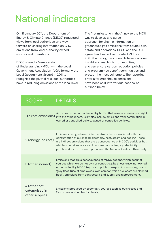## National indicators

On 31 January 2011, the Department of Energy & Climate Change (DECC) requested views from local authorities on a way forward on sharing information on GHG emissions from local authority owned estates and operations.

DECC signed a Memorandum of Understanding (MOU) with the Local Government Association (LGA, formerly the Local Government Group) in 2011 to recognise the pivotal role local authorities have in reducing emissions at the local level. The first milestone in the Annex to the MOU was to develop and agree approach for sharing information on greenhouse gas emissions from council own estate and operations. DECC and the LGA agreed and signed an updated MOU in 2013 that recognises councils have a unique insight and reach into communities, and can ensure carbon reduction policies and programmes benefit communities and protect the most vulnerable. The reporting criteria for greenhouse emissions have been spilt into various 'scopes' as outlined below:-

| <b>SCOPE</b>                                    | <b>DETAILS</b>                                                                                                                                                                                                                                                                                                                                                        |
|-------------------------------------------------|-----------------------------------------------------------------------------------------------------------------------------------------------------------------------------------------------------------------------------------------------------------------------------------------------------------------------------------------------------------------------|
| 1 (direct emissions)                            | Activities owned or controlled by MDDC that release emissions straight<br>into the atmosphere. Examples include emissions from combustion in<br>owned or controlled boilers, owned or controlled vehicles.                                                                                                                                                            |
| 2 (energy indirect)                             | Emissions being released into the atmosphere associated with the<br>consumption of purchased electricity, heat, steam and cooling. These<br>are indirect emissions that are a consequence of MDDC's activities but<br>which occur at sources we do not own or control, e.g. electricity<br>purchased for own consumption from the National Grid or a third party.     |
| 3 (other indirect)                              | Emissions that are a consequence of MDDC actions, which occur at<br>sources which we do not own or control, e.g. business travel not owned<br>or controlled by MDDC (eg. use of public transport), commuting, use of<br>'grey fleet' (use of employees' own cars for which fuel costs are claimed<br>back), emissions from contractors, and supply chain procurement. |
| 4 (other not<br>categorised in<br>other scopes) | Emissions produced by secondary sources such as businesses and<br>Farms (see action plan for details)                                                                                                                                                                                                                                                                 |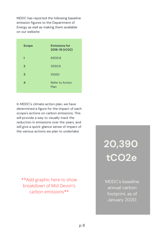MDDC has reported the following baseline emission figures to the Department of Energy as well as making them available on our website:

| <b>Scope</b>   | <b>Emissions for</b><br>2018-19 (tCO2) |
|----------------|----------------------------------------|
| $\mathbf{1}$   | 6500.8                                 |
| $\overline{2}$ | 3550.6                                 |
| 3              | 10350                                  |
| 4              | <b>Refer to Action</b><br>Plan         |

In MDDC's climate action plan, we have determined a figure for the impact of each scope's actions on carbon emissions. This will provide a way to visually track the reduction in emissions over the years, and will give a quick-glance sense of impact of the various actions we plan to undertake.

\*\*Add graphic here to show breakdown of Mid Devon's carbon emissions\*\*

## **20,390 tCO2e**

MDDC's baseline annual carbon footprint, as of January 2020: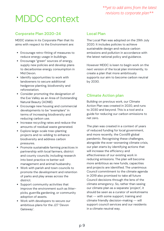## MDDC context

### **Corporate Plan 2020-24 Local Plan**

MDDC states in its Corporate Plan that its aims with respect to the Environment are:

- Encourage retro-fitting of measures to reduce energy usage in buildings.
- Encourage "green" sources of energy, supply new policies and develop plans to decarbonise energy consumption in Mid Devon.
- Identify opportunities to work with landowners to secure additional hedgerow planting, biodiversity and reforestation.
- Consider promoting the designation of the Exe Valley as an Area of Outstanding Natural Beauty (AONB).
- Encourage new housing and commercial developments to be "exemplars" in terms of increasing biodiversity and reducing carbon use.
- Increase recycling rates and reduce the amounts of residual waste generated.
- Explore large-scale tree-planting projects and re-wilding to enhance biodiversity and address carbon pressures.
- Promote sustainable farming practices in partnership with local farmers, district and county councils; including research into best practice re better soil management and animal husbandry.
- Work with parish and town councils to promote the development and retention of parks and play areas across the district.
- Support community activities that improve the environment such as litterpicks, guerrilla gardening, or community adoption of assets.
- Work with developers to secure our ambitious plans for the J27 'Devon Gateway'.

The Local Plan was adopted on the 29th July 2020. It includes policies to achieve sustainable design and reduce carbon emissions and pollution in accordance with the latest national policy and guidance.

However MDDC is keen to begin work on the next version of the local plan imminently, to create a plan that more ambitiously supports our aim to become carbon neutral by 2030.

### **Climate Action plan**

Building on previous work, our Climate Action Plan was created in 2020, and runs to 2030 and beyond. This is a tool and a guide for reducing our carbon emissions to net zero.

The plan was created in a context of years of reduced funding for local government, and more recently, the Covid19 global pandemic. Recognising these challenges, alongside the ever-worsening climate crisis, our plan starts by identifying actions that will increase the efficiency and effectiveness of our existing work in reducing emissions. The plan will become more ambitious as new funds, capacities and projects are identified. The unanimous Council commitment to the climate agenda in 2019 also promised to take all future Council decisions through the lens of the climate emergency. So, rather than seeing our climate plan as a separate 'project', it should be seen as a curator of workstreams that -- with some support, training and climate friendly decision-making -- will support council services and our residents in a climate neutral way.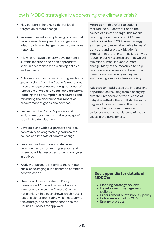## How is MDDC strategically addressing the climate crisis?

- Play our part in helping to deliver local targets on climate change.
- Implementing adopted planning policies that require new development to mitigate and adapt to climate change through sustainable materials.
- Allowing renewable energy development in suitable locations and at an appropriate scale in accordance with planning policies and guidance.
- Achieve significant reductions of greenhouse gas emissions from the Council's operations through energy conservation, greater use of renewable energy and sustainable transport, reducing the consumption of resources and minimising the environmental impact of procurement of goods and services.
- Ensure that the Council's policies and actions are consistent with the concept of sustainable development.
- Develop plans with our partners and local community to progressively address the causes and impacts of climate change.
- Empower and encourage sustainable communities by committing support and where possible, resources to community-led initiatives.
- Work with partners in tackling the climate crisis, encouraging our partners to commit to positive action.
- The Council has a number of Policy Development Groups that will all work to monitor and review the Climate Change Action Plan. It has been shown which PDG is responsible for monitoring which category of this strategy and recommendation to the Council's Cabinet for approval.

**Mitigation** – this refers to actions that reduce our contribution to the causes of climate change. This means reducing our emissions of GHGs like carbon dioxide (CO2), through energy efficiency and using alternative forms of transport and energy. Mitigation is important in the long term as it is only by reducing our GHG emissions that we will minimise human-induced climate change. Many of the measures to help reduce emissions may also have other benefits such as saving money and encouraging a more inclusive society.

**Adaptation** - addresses the impacts and opportunities resulting from a changing climate. Irrespective of the success of mitigation efforts, there will still be some degree of climate change. This stems from our historic greenhouse gas emissions and the persistence of these gases in the atmosphere.

### **See appendix for details of MDDC's:**

- Planning Strategy policies
- Development management policies
- Procurement sustainability policy
- Enforcement policy 2019
- Energy projects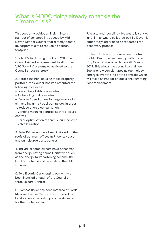## What is MDDC doing already to tackle the climate crisis?

This section provides an insight into a **Corporate Plan 2020-24** number of schemes introduced by Mid Devon District Council that directly benefit its corporate aim to reduce its carbon footprint.

1. Solar PV to Housing Stock - In 2012 the Council signed an agreement to allow over 1,170 Solar PV systems to be fitted to the Council's housing stock

2. Across the non-housing stock property portfolio, the Council has implemented the following measures:

- Low voltage lighting upgrades.
- Air handling unit upgrades.

- Variable Speed drives for large motors in air handling units / pool pumps etc. In order to reduce energy consumption.

- Vending machine controls at three leisure centres.

- Boiler optimisation at three leisure centres

- Valve Insulation

3. Solar PV panels have been installed on the roofs of our main offices at Phoenix House and our leisure/sports centres.

4. Individual home owners have benefitted from energy saving council initiatives such as the energy tariff switching scheme, the Eco Flex Scheme and referrals to the LEAP scheme.

5. Two Electric Car charging points have been installed at each of the Councils three Leisure Centres.

6. Biomass Boiler has been installed at Lords Meadow Leisure Centre. This is fuelled by locally sourced woodchip and heats water for the whole building.

7. Waste and recycling - No waste is sent to landfill – all waste collected by Mid Devon is either recycled or used as feedstock for a recovery process

8. Fleet Contract - The new fleet contract for Mid Devon, in partnership with Exeter City Council, was awarded on 7th March 2019. This allows the council to trial new Eco-friendly vehicle types as technology emerges over the life of the contract which will make an impact on decisions regarding fleet replacement.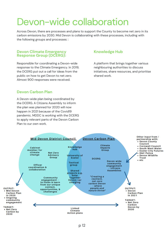## Devon-wide collaboration

Across Devon, there are processes and plans to support the County to become net zero in its carbon emissions by 2030. Mid Devon is collaborating with these processes, including with the following groups and processes: :

#### **Devon Climate Emergency Response Group (DCERG):**

Responsible for coordinating a Devon-wide response to the Climate Emergency. In 2019, the DCERG put out a call for ideas from the public on how to get Devon to net zero. Almost 900 responses were received.

### **Knowledge Hub**

A platform that brings together various neighbouring authorities to discuss initiatives, share resources, and prioritise shared work.

### **Devon Carbon Plan**

A Devon-wide plan being coordinated by the DCERG. A Citizens Assembly to inform the plan was planned for 2020 will now happen in 2021 because of the Covid19 pandemic. MDDC is working with the DCERG to apply relevant parts of the Devon Carbon Plan to our own work.

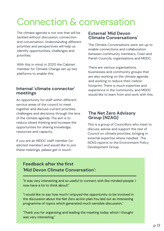## Connection & conversation

The climate agenda is not one that will be tackled without discussion, connection and conversation. Understanding different priorities and perspectives will help us identify opportunities, challenges and priorities.

With this in mind, in 2020 the Cabinet member for Climate Change set up two platforms to enable this:

## **Internal 'climate connector' meetings**

An opportunity for staff within different service areas of the council to meet together and discuss current priorities, challenges and decisions through the lens of the climate agenda. The aim is to reduce siloed thinking and increase the opportunties for sharing knowledge, resources and capacity.

*If you are an MDDC staff member (or elected member) and would like to join these meetings, please get in touch.*

## **External 'Mid Devon Climate Conversations'**

The Climate Conversations were set up to enable connections and collaboration between community members, Town and Parish Councils, organisations and MDDC.

There are various organisations, businesses and community groups that are also working on the climate agenda, and working to reduce their carbon footprint. There is much expertise and experience in the community, and MDDC would like to learn from and work with this.

## **The Net Zero Advisory Group (NZAG)**

This is a group of Councillors who meet to discuss, advise and support the rest of Council on climate priorities, bringing in external expertise where needed. The NZAG reports to the Environment Policy Development Group.

## **Feedback after the first 'Mid Devon Climate Conversation':**

"It was very interesting and so useful to connect with like minded people. I now have a lot to think about!"

"I would like to say how much I enjoyed the opportunity to be involved in the discussion about the Net Zero action plan.You laid out an interesting programme of topics which generated much sensible discussion."

"Thank you for organising and leading the meeting today which I thought was very interesting."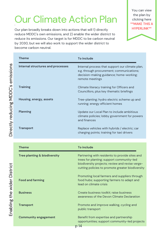## · Our Climate Action Plan

Our plan broadly breaks down into actions that will 1) directly reduce MDDC's own emissions, and 2) enable the wider district to reduce its emissions. Our target is for MDDC to be carbon neutral by 2030, but we will also work to support the wider district to become carbon neutral.

You can view the plan by clicking here \*\*MAKE THIS A HYPERLINK\*\*



| Theme                             | To include                                                                                                                                                 |
|-----------------------------------|------------------------------------------------------------------------------------------------------------------------------------------------------------|
| Internal structures and processes | Internal process that support our climate plan,<br>e.g. through procurement; communications;<br>decision-making guidance; home-working;<br>remote meetings |
| <b>Training</b>                   | Climate literacy training for Officers and<br>Councillors, plus key thematic briefings                                                                     |
| Housing, energy, assets           | Tree-planting; hydro electric scheme up and<br>running; energy efficient homes                                                                             |
| <b>Planning</b>                   | Update our Local Plan to include ambitious<br>climate policies; lobby government for powers<br>and finances                                                |
| <b>Transport</b>                  | Replace vehicles with hybrids / electric; car<br>charging points; training for taxi drivers                                                                |

| Theme                                   | <b>To include</b>                                                                                                                                                                                  |
|-----------------------------------------|----------------------------------------------------------------------------------------------------------------------------------------------------------------------------------------------------|
| <b>Tree planting &amp; biodiversity</b> | Partnering with residents to provide sites and<br>trees for planting; support community-led<br>biodiversity projects; review and revise verge-<br>cutting policies to promote greater biodiversity |
| <b>Food and farming</b>                 | Promoting local farmers and suppliers through<br>food hubs; supporting farmers to adapt and<br>lead on climate crisis                                                                              |
| <b>Business</b>                         | Create business toolkit; raise business<br>awareness of the Devon Climate Declaration                                                                                                              |
| <b>Transport</b>                        | Promote and improve walking, cycling and<br>public transport                                                                                                                                       |
| <b>Community engagement</b>             | Benefit from expertise and partnership<br>opportunities; support community-led projects<br>$\sim$ 1 $\Lambda$                                                                                      |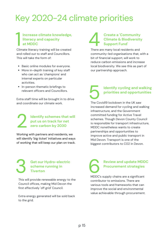## Key 2020-24 climate priorities

## **Increase climate knowledge, literacy and capacity at MDDC** Increase climate knowledge,<br>
literacy and capacity<br>
at MDDC<br>
Climate literacy training will be created

and rolled out to staff and Councillors. This will take the form of:

- Basic online modules for everyone.
- More in-depth training of key staff who can act as 'champions' and internal experts on particular activities.
- In-person thematic briefings to relevant officers and Councillors.

Extra staff time will be brought in to drive and coordinate our climate work.

2 **Identify schemes that will put us on track for net zero carbon by 2030**

Working with partners and residents, we will identify 'big ticket' initiatives and ways of working that will keep our plan on track.

## **Create a 'Community Climate & Biodiversity Support Fund'** Create a 'Community<br>
Climate & Biodiversit<br>
Support Fund'<br>
There are many local residents and

community-led organisations that, with a bit of financial support, will work to reduce carbon emissions and increase local biodiversity. We see this as part of our partnership approach.

## **Identify cycling and walking priorities and opportunities** Identify cycling and www.<br>
priorities and opporture<br>
The Covid19 lockdown in the UK saw

increased demand for cycling and walking infrastructure, and the Government committed funding for Active Travel schemes. Though Devon County Council is responsible for transport infrastructure, MDDC nonetheless wants to create partnerships and opportunities to improve active and public transport in Mid Devon. Transport is one of the biggest contributors to C02 in Devon.

### **Get our Hydro-electric scheme running in Tiverton**

3

This will provide renewable energy to the Council offices, making Mid Devon the first effectively 'off grid' Council.

Extra energy generated will be sold back to the grid.

## **Review and update MDDC Procurement strategies** Review and update MDD<br>Procurement strategies<br>MDDC's supply chains are a significant

contributor to emissions. There are various tools and frameworks that can improve the social and environmental value achievable through procurement.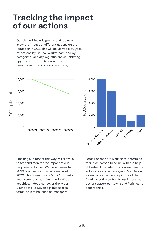## **Tracking the impact of our actions**

Our plan will include graphs and tables to show the impact of different actions on the reduction in C02. This will be viewable by year, by project, by Council workstream, and by category of activity, e.g. efficiencies, lobbying, upgrades, etc. (The below are for demonstration and are not accurate).



Tracking our impact this way will allow us to test and monitor the impact of our proposed activities. We have figures for MDDC's annual carbon baseline as of 2020. This figure covers MDDC property and assets, and our direct and indirect activities. It does not cover the wider District of Mid Devon e.g. businesses, farms, private households, transport.

Some Parishes are working to determine their own carbon baseline, with the help of Exeter University. This is something we will explore and encourage in Mid Devon, so we have an accurate picture of the District's entire carbon footprint, and can better support our towns and Parishes to decarbonise.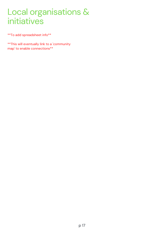## Local organisations & initiatives

\*\*To add spreadsheet info\*\*

\*\*This will eventually link to a 'community map' to enable connections\*\*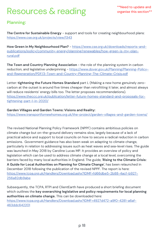## Resources & reading

## **Planning:**

**The Centre for Sustainable Energy** - support and tools for creating neighbourhood plans: <https://www.cse.org.uk/projects/view/1343>

**How Green in My Neighbourhood Plan?** - https://www.cse.org.uk/downloads/reports-and[publications/policy/community-energy/planning/renewables/how-green-is-my-plan](https://www.cse.org.uk/downloads/reports-and-publications/policy/community-energy/planning/renewables/how-green-is-my-plan-rural.pdf)rural.pdf

**The Town and Country Planning Association** - the role of the planning system in carbon reduction, and legislative underpinning - https://www.dover.gov.uk/Planning/Planning-Policy[and-Regeneration/PDF/3-Town-and-Country-Planning-The-Climate-Crisis.pdf](https://www.dover.gov.uk/Planning/Planning-Policy-and-Regeneration/PDF/3-Town-and-Country-Planning-The-Climate-Crisis.pdf)

Letter: **tightening the Future Homes Standard** part L (Making a new home genuinely zerocarbon at the outset is around five times cheaper than retrofitting it later, and almost always will reduce residents' energy bills too. The letter proposes recommendations). [https://www.theccc.org.uk/publication/letter-future-homes-standard-and-proposals-for](https://www.theccc.org.uk/publication/letter-future-homes-standard-and-proposals-for-tightening-part-l-in-2020/)tightening-part-l-in-2020/

### **Garden Villages and Garden Towns: Visions and Reality:**

<https://www.transportfornewhomes.org.uk/the-project/garden-villages-and-garden-towns/>

The revised National Planning Policy Framework (NPPF) contains ambitious policies on climate change but on-the-ground delivery remains slow, largely because of a lack of practical advice and support to local councils on how to secure a radical reduction in carbon emissions. Government guidance has also been weak on adapting to climate change, particularly in relation to addressing issues such as heat waves and sea-level rises. The guide was launched in May 2018 by Caroline Lucas MP. It provides an overview of policy and legislation which can be used to address climate change at a local level, overcoming the barriers faced by many local authorities in England. The guide, '**Rising to the Climate Crisis: A Guide for Local Authorities on Planning for Climate Change'**, has been relaunched in December 2018 following the publication of the revised NPPF. The report is here: [https://www.tcpa.org.uk/Handlers/Download.ashx?IDMF=fd66dbe5-2b88-4acf-b927-](https://www.tcpa.org.uk/Handlers/Download.ashx?IDMF=fd66dbe5-2b88-4acf-b927-256a82db9abe) 256a82db9abe

Subsequently, the TCPA, RTPI and ClientEarth have produced a short briefing document which outlines the **key overarching legislative and policy requirements for local planning authorities on climate change.** This can be downloaded here: [https://www.tcpa.org.uk/Handlers/Download.ashx?IDMF=4927d472-a9f0-4281-a6af-](https://www.tcpa.org.uk/Handlers/Download.ashx?IDMF=4927d472-a9f0-4281-a6af-463ddc642201)463ddc642201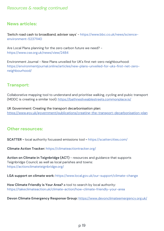## *Resources & reading continued*

## **News articles:**

'Switch road cash to broadband, adviser says' - https://www.bbc.co.uk/news/scienceenvironment-52371140

Are Local Plans planning for the zero carbon future we need? https://www.cse.org.uk/news/view/2484

Environment Journal - New Plans unveiled for UK's first net-zero neighbourhood: https://environmentjournal.online/articles/new-plans-unveiled-for-uks-first-net-zeroneighbourhood/

## **Transport:**

Collaborative mapping tool to understand and prioritise walking, cycling and pubic transport (MDDC is creating a similar tool): <https://bathnesliveablestreets.commonplace.is/>

UK Government: Creating the transport decarbonisation plan: <https://www.gov.uk/government/publications/creating-the-transport-decarbonisation-plan>

### **Other resources:**

**SCATTER -** local authority focussed emissions tool **-** https://scattercities.com/

**Climate Action Tracker:** https://climateactiontracker.org/

**Action on Climate in Teignbridge (ACT)** - resources and guidance that supports Teignbridge Council, as well as local parishes and towns: https://actionclimateteignbridge.org/

**LGA support on climate work:** https://www.local.gov.uk/our-support/climate-change

**How Climate Friendly is Your Area?** a tool to search by local authority: https://takeclimateaction.uk/climate-action/how-climate-friendly-your-area

**Devon Climate Emergency Response Group:** <https://www.devonclimateemergency.org.uk/>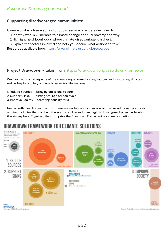### **Supporting disadvantaged communities:**

Climate Just is a free webtool for public service providers designed to:

- 1.Identify who is vulnerable to climate change and fuel poverty and why.
- 2.Highlight neighbourhoods where climate disadvantage is highest.
- Explain the factors involved and help you decide what actions to take. 3.

Resources available here: https://www.climatejust.org.uk/resources

## **Project Drawdown** - taken from https://drawdown.org/drawdown-framework

We must work on all aspects of the climate equation—stopping sources and supporting sinks, as well as helping society achieve broader transformations.

- 1. Reduce Sources bringing emissions to zero
- 2. Support Sinks uplifting nature's carbon cycle
- 3. Improve Society fostering equality for all

Nested within each area of action, there are sectors and subgroups of diverse solutions—practices and technologies that can help the world stabilize and then begin to lower greenhouse gas levels in the atmosphere. Together, they comprise the Drawdown Framework for climate solutions.

## DRAWDOWN FRAMEWORK FOR CLIMATE SOLUTIONS

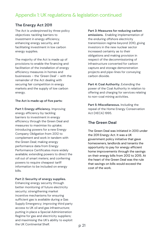## Appendix 1: UK regulations & legislation continued

### **The Energy Act 2011**

The Act is underpinned by three policy objectives: tackling barriers to investment in energy efficiency, enhancing energy security, and facilitating investment in low carbon energy supplies.

The majority of the Act is made up of provisions to enable the financing and facilitation of the installation of energy efficiency measures in homes and businesses – the 'Green Deal' – with the remainder of the Act dealing with securing fair competition in energy markets and the supply of low carbon energy.

#### **The Act is made up of five parts:**

**Part 1: Energy efficiency.** Improving energy efficiency by tackling barriers to investment in energy efficiency through the Green Deal and measures to maximise its uptake; introducing powers for a new Energy Company Obligation from 2012 to complement and work in tandem with the Green Deal; making energy performance data from Energy Performance Certificates more widely available; extending powers to direct the roll out of smart meters; and conferring powers to require cheapest tariff information to be included on energy bills.

#### **Part 2: Security of energy supplies.**

Enhancing energy security through better monitoring of future electricity security; strengthening market incentive mechanisms for ensuring sufficient gas is available during a Gas Supply Emergency; improving third party access to UK oil and gas infrastructure; putting in place a Special Administration Regime for gas and electricity suppliers; and maximising the UK's ability to exploit the UK Continental Shelf.

#### **Part 3: Measures for reducing carbon**

**emissions.** Enabling implementation of the enduring offshore electricity transmission regime beyond 2010, giving investors in the new nuclear sector increased certainty as to their obligations and making provision in respect of the decommissioning of infrastructure converted for carbon capture and storage demonstration projects and pipe-lines for conveying carbon dioxide.

**Part 4: Coal Authority.** Extending the power of the Coal Authority in relation to offering and charging for services relating to non-coal mining activities.

**Part 5: Miscellaneous.** Including the repeal of the Home Energy Conservation Act (HECA) 1995.

### **The Green Deal**

The Green Deal was initiated in 2013 under the 2011 Energy Act. It was a UK government policy initiative that gave homeowners, landlords and tenants the opportunity to pay for energy efficient home improvements through the savings on their energy bills from 2012 to 2015. At the heart of the Green Deal was the rule that savings on bills would exceed the cost of the work.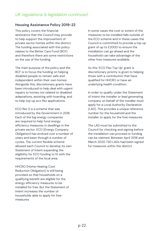## *UK regulations & legislation continued*

### **Housing Assistance Policy 2019-22**

This policy covers the financial assistance that the Council may provide to help support the improvement of private sector homes within the district. The funding associated with this policy relates to the Better Care Fund (BCF) and therefore there are some restrictions on the use of the funding.

The main purpose of the policy and the BCF is to focus the funding on helping disabled people to remain safe and independent within their own homes. Alongside this, discretionary grants have been introduced to help deal with urgent repairs to homes not related to disabled adaptations, assisting with hoarding, and to help top up eco flex applications.

ECO flex 3 is a scheme that was introduced by the Government in 2018. Each of the big energy companies are required to help fund energy efficiency measures in dwellings in the private sector. ECO (Energy Company Obligation) has evolved over a number of years and been through a number of cycles. The current flexible scheme allowed each Council to develop its own Statement of Intent expanding the eligibility for ECO funding to fit with the requirements of the local area.

HHCRO (Home Heating Cost Reduction Obligation) is still being provided so that households on a qualifying benefit are eligible for the energy efficiency measures to be installed for free. But the Statement of Intent increases the number of households able to apply for free measures.

In some cases the cost or extent of the measures to be installed falls outside of the ECO scheme and in these cases the Council is committed to provide a top up grant of up to £2000 to ensure the installation can go ahead and the household can take advantage of the other free measures available.

As this 'ECO Flex Top Up' grant is discretionary priority is given to helping those with a contribution that have qualified for HHCRO or have an underlying health condition.

In order to qualify under the Statement of Intent the installer or lead generating company on behalf of the installer must apply for a Local Authority Declaration (LAD). This provides a unique reference number for the household and the installer to apply for the free measures.

The LAD must be submitted to the Council for checking and signing before the installation can proceed or funding can be claimed. Between April 2018 and March 2020 730 LADs had been signed for measures within the district.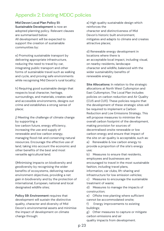## Appendix 2: Existing MDDC policies

**Mid Devon Local Plan Policy S1:**

**Sustainable Development** is now an adopted planning policy. Relevant clauses are summarised below: All development will be expected to support the creation of sustainable communities by:

e) Promoting sustainable transport by delivering appropriate infrastructure, reducing the need to travel by car, integrating public transport and other forms of sustainable travel such as walking and cycle, and proving safe environments while recognising Mid Devon's rural locality;

h) Requiring good sustainable design that respects local character, heritage, surroundings, and materials, creates safe and accessible environments, designs out crime and establishes a strong sense of place;

j) Meeting the challenge of climate change by supporting a

low carbon future, energy efficiency, increasing the use and supply of renewable and low carbon energy, managing flood risk and conserving natural resources. Encourage the effective use of land, taking into account the economic and other benefits of the best and most versatile agricultural land.

I)Minimising impacts on biodiversity and geodiversity by recognising the wider benefits of ecosystems, delivering natural environment objectives, providing a net gain in biodiversity and by the protection of international, European, national and local designated wildlife sites;

**Policy S9: Environment** requires that development will sustain the distinctive quality, character and diversity of Mid Devon's environmental assets and minimise the impact of development on climate change through:

a) High quality sustainable design which reinforces the character and distinctiveness of Mid Devon's historic built environment, mitigates and adapts to climate and creates attractive places;

d) Renewable energy development in locations where there is an acceptable local impact, including visual, on nearby residents, landscape character and wildlife, balanced with the wider sustainability benefits of renewable energy.

**Site Allocations:** In relation to the strategic allocations at North West Cullompton and East Cullompton, The Local Plan includes policies on carbon reduction and Air Quality (CU5 and CU11). These policies require that the development of these strategic sites will be required to implement a Carbon Reduction and Low Emissions Strategy. This will propose measures to minimise the overall carbon footprint of the development, making provision for sources of decentralised onsite renewable or low carbon energy and ensure that impact of the site on air quality is acceptable, such as:

a) Renewable & low carbon energy to provide a proportion of the site's energy use;

b) Measures to ensure that residents, employees and businesses are encouraged to travel in the most sustainable fashion, including travel plans,

information, car clubs, lift-sharing and infrastructure for low emission vehicles;

c) Measures to encourage the sustainable treatment of waste;

d) Measures to manage the impacts of construction;

e) Offsite tree planting where sufficient cannot be accommodated onsite;

f) Energy improvements to existing buildings;

g) Other measures to capture or mitigate carbon emissions and air

quality impacts from development.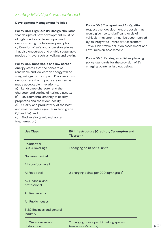#### **Development Management Policies**

**Policy DM1: High Quality Design** stipulates that designs of new development must be of high quality and based upon and demonstrating the following principles: d) Creation of safe and accessible places that also encourage and enable sustainable modes of travel such as walking and cycling

#### **Policy DM2 Renewable and low carbon**

**energy** states that the benefits of renewable and low carbon energy will be weighed against its impact. Proposals must demonstrate that impacts are or can be made acceptable in relation to:

a) Landscape character and the character and setting of heritage assets; b) Environmental amenity of nearby

properties and the wider locality;

c) Quality and productivity of the best and most versatile agricultural land grade (1,2 and 3a); and

d) Biodiversity (avoiding habitat fragmentation)

#### **Policy DM3 Transport and Air Quality**

request that development proposals that would give rise to significant levels of vehicular movement must be accompanied by an integrated Transport Assessment, Travel Plan, traffic pollution assessment and Low Emission Assessment.

**Policy DM5: Parking** establishes planning policy standards for the provision of EV charging points as laid out below:

| <b>Use Class</b>                              | EV Infrastructure (Crediton, Cullompton and<br>Tiverton)        |
|-----------------------------------------------|-----------------------------------------------------------------|
| <b>Residential</b><br>C3,C4 Dwellings         | 1 charging point per 10 units                                   |
| Non-residential                               |                                                                 |
| A1 Non-food retail                            |                                                                 |
| A1 Food retail                                | 2 charging points per 200 sqm (gross)                           |
| A <sub>2</sub> Financial and<br>professional  |                                                                 |
| <b>A3 Restaurants</b>                         |                                                                 |
| A4 Public houses                              |                                                                 |
| <b>B1,B2 Business and general</b><br>industry |                                                                 |
| <b>B8 Warehousing and</b><br>distribution     | 2 charging points per 10 parking spaces<br>(employees/visitors) |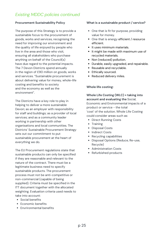#### **Procurement Sustainability Policy**

The purpose of this Strategy is to provide a sustainable focus to the procurement of goods, works and services, recognising the need for improving our environment and the quality of life enjoyed by people who live in the area and those who visit, ensuring all stakeholders who purchase anything on behalf of the Council(s) have due regard to the potential impacts. The 7 Devon Districts spend annually in the region of £90 million on goods, works and services. "Sustainable procurement is about delivering value for money, whole-life costing and benefits to society and the economy as well as the environment".

The Districts have a key role to play in helping to deliver a more sustainable Devon; as an employer with responsibility for staff and buildings; as a provider of local services; and as a community leader working in partnership with other organisations and local communities. The Districts' Sustainable Procurement Strategy sets out our commitment to put sustainable procurement at the heart of everything we do.

The EU Procurement regulations state that sustainable products can only be specified if they are reasonable and relevant to the nature of the contract. There must be a legitimate business need to specify sustainable products. The procurement process must not be anti-competitive or non-commercial (capable of being supplied). Criteria must be specified in the ITT document together with the allocated weighting. Evaluation criteria used needs to take into account:

- Social benefits
- Economic benefits
- Envrironmental benefits

#### **What is a sustainable product / service?**

- One that is fit for purpose, providing value for money.
- One that is energy efficient / resource efficient.
- It uses minimum materials.
- It might be made with maximum use of recycled materials.
- Non (reduced) pollution.
- Durable, easily upgraded, and repairable.
- Reusable and recyclable.
- Ethically sourced.
- Reduced delivery miles.

#### **Whole life costing:**

#### **Whole Life Costing (WLC) = taking into account and evaluating the** Social, Economic and Environmental impacts of a

product or service - the total 'cost' of the solution. Whole Life Costing could consider areas such as:

- Direct Running Costs
- Training
- Disposal Costs
- Indirect Costs
- Recycling capabilities
- Disposal Options (Reduce, Re-use, Recycle)
- Administration Costs
- Refurbished products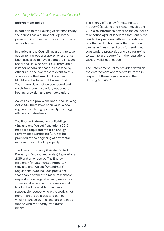#### **Enforcement policy**

In addition to the Housing Assistance Policy the council has a number of regulatory powers to improve the condition of private sector homes.

In particular the Council has a duty to take action to improve a property where it has been assessed to have a category 1 hazard under the Housing Act 2004. There are a number of hazards that are assessed by officers but the two most relevant to this strategy are the hazard of Damp and Mould and the hazard of Excess Cold. These hazards are often connected and result from poor insulation, inadequate heating provision and poor ventilation.

As well as the provisions under the Housing Act 2004, there have been various new regulations relating specifically to energy efficiency in dwellings.

The Energy Performance of Buildings (England and Wales) Regulations 2012 made it a requirement for an Energy Performance Certificate (EPC) to be provided at the beginning of any rental agreement or sale of a property.

The Energy Efficiency (Private Rented Property) (England and Wales) Regulations 2015 and amended by The Energy Efficiency (Private Rented Property) (England and Wales) (Amendment) Regulations 2019 includes provisions that enable a tenant to make reasonable requests for energy efficiency measures to be installed and a private residential landlord will be unable to refuse a reasonable request where the work is not more than the cost cap and can be wholly financed by the landlord or can be funded wholly or partly by external means.

The Energy Efficiency (Private Rented Property) (England and Wales) Regulations 2015 also introduces power to the council to take action against landlords that rent out a residential premises with an EPC rating of less than an E. This means that the council can issue fines to landlords for renting out substandard properties and also for trying to exempt a property from the regulations without valid justification.

The Enforcement Policy provides detail on the enforcement approach to be taken in respect of these regulations and the Housing Act 2004.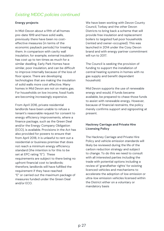### **Energy projects**

In Mid-Devon about a fifth of all homes pre-date 1919 and have solid walls, previously there have been no costeffective measures (in terms of the economic payback periods) for treating them. In comparison with cavity wall insulation, for example, external insulation has cost up to ten times as much for a similar dwelling. Early Park Homes have similar, poor insulation, and can be difficult to improve internally because of the loss of floor space. There are developing technologies that are making the insulation of solid walls more cost effective. Many homes in Mid Devon are not on mains gas. For households on low income, fossil fuels are becoming increasingly expensive.

From April 2016, private residential landlords have been unable to refuse a tenant's reasonable request for consent to energy efficiency improvements, where a finance package, such as the Green Deal and/or the Energy Company Obligation (ECO), is available. Provisions in the Act has also provided for powers to ensure that from April 2018, it is unlawful to rent out a residential or business premise that does not reach a minimum energy efficiency standard (the intention is for this to be set at EPC rating "E"). These requirements are subject to there being no upfront financial cost to landlords; therefore, landlords will have fulfilled the requirement if they have reached "E" or carried out the maximum package of measures funded under the Green Deal and/or ECO.

We have been working with Devon County Council, Torbay and the other Devon Districts to bring back a scheme that will provide free insulation and replacement boilers to targeted fuel poor households (rented and owner-occupied). This was launched in 2014 under the Cosy Devon brand and with energy partner commitment will run to 2017.

The Council is seeking the provision of funding to support the installation of central heating systems in homes with no gas supply and benefit dependant household.

Mid Devon supports the use of renewable energy and would, if funds became available, be prepared to chase those funds to assist with renewable energy. However, because of financial restraints, the policy merely confirms support and signposting at present.

### **Hackney Carriage and Private Hire Licensing Policy**

The Hackney Carriage and Private Hire Policy and vehicle emission standards will likely be reviewed during the life of the carbon reduction strategy and subject to change. To do this we need to consult with all interested parties including the trade with potential options including a review of 'grandfather rights' for existing licenced vehicles and mechanisms to accelerate the adoption of low emission or ultra-low emission vehicles licensed within the District either on a voluntary or mandatory basis